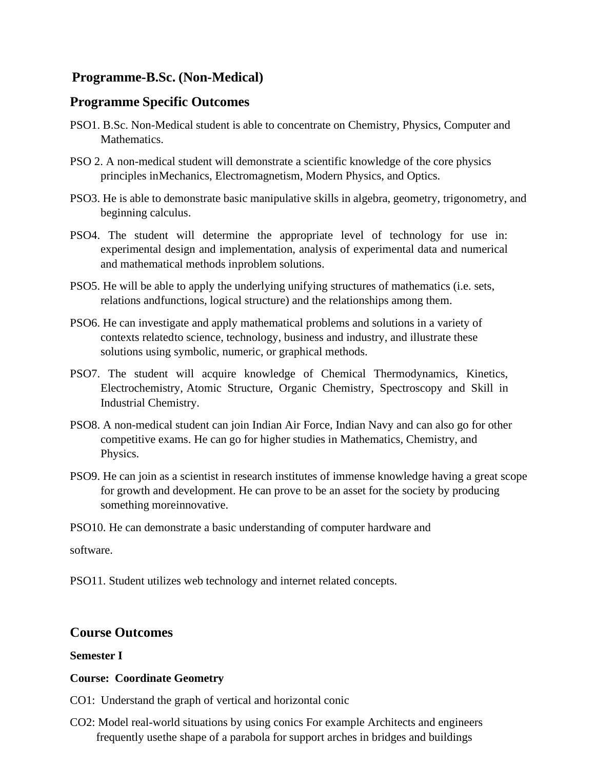# **Programme-B.Sc. (Non-Medical)**

# **Programme Specific Outcomes**

- PSO1. B.Sc. Non-Medical student is able to concentrate on Chemistry, Physics, Computer and Mathematics.
- PSO 2. A non-medical student will demonstrate a scientific knowledge of the core physics principles inMechanics, Electromagnetism, Modern Physics, and Optics.
- PSO3. He is able to demonstrate basic manipulative skills in algebra, geometry, trigonometry, and beginning calculus.
- PSO4. The student will determine the appropriate level of technology for use in: experimental design and implementation, analysis of experimental data and numerical and mathematical methods inproblem solutions.
- PSO5. He will be able to apply the underlying unifying structures of mathematics (i.e. sets, relations andfunctions, logical structure) and the relationships among them.
- PSO6. He can investigate and apply mathematical problems and solutions in a variety of contexts relatedto science, technology, business and industry, and illustrate these solutions using symbolic, numeric, or graphical methods.
- PSO7. The student will acquire knowledge of Chemical Thermodynamics, Kinetics, Electrochemistry, Atomic Structure, Organic Chemistry, Spectroscopy and Skill in Industrial Chemistry.
- PSO8. A non-medical student can join Indian Air Force, Indian Navy and can also go for other competitive exams. He can go for higher studies in Mathematics, Chemistry, and Physics.
- PSO9. He can join as a scientist in research institutes of immense knowledge having a great scope for growth and development. He can prove to be an asset for the society by producing something moreinnovative.
- PSO10. He can demonstrate a basic understanding of computer hardware and

software.

PSO11. Student utilizes web technology and internet related concepts.

# **Course Outcomes**

# **Semester I**

# **Course: Coordinate Geometry**

- CO1: Understand the graph of vertical and horizontal conic
- CO2: Model real-world situations by using conics For example Architects and engineers frequently usethe shape of a parabola for support arches in bridges and buildings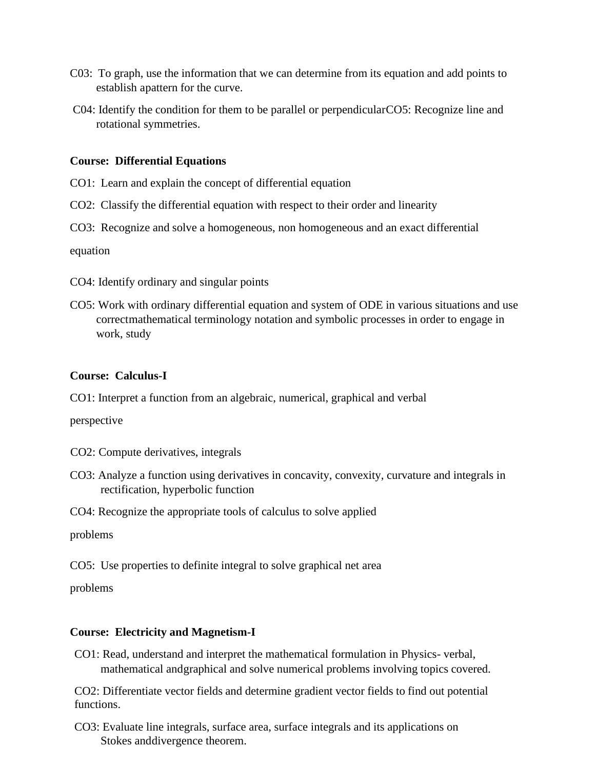- C03: To graph, use the information that we can determine from its equation and add points to establish apattern for the curve.
- C04: Identify the condition for them to be parallel or perpendicularCO5: Recognize line and rotational symmetries.

#### **Course: Differential Equations**

- CO1: Learn and explain the concept of differential equation
- CO2: Classify the differential equation with respect to their order and linearity
- CO3: Recognize and solve a homogeneous, non homogeneous and an exact differential

equation

- CO4: Identify ordinary and singular points
- CO5: Work with ordinary differential equation and system of ODE in various situations and use correctmathematical terminology notation and symbolic processes in order to engage in work, study

#### **Course: Calculus-I**

CO1: Interpret a function from an algebraic, numerical, graphical and verbal

perspective

- CO2: Compute derivatives, integrals
- CO3: Analyze a function using derivatives in concavity, convexity, curvature and integrals in rectification, hyperbolic function
- CO4: Recognize the appropriate tools of calculus to solve applied

problems

CO5: Use properties to definite integral to solve graphical net area

problems

### **Course: Electricity and Magnetism-I**

CO1: Read, understand and interpret the mathematical formulation in Physics- verbal, mathematical andgraphical and solve numerical problems involving topics covered.

CO2: Differentiate vector fields and determine gradient vector fields to find out potential functions.

CO3: Evaluate line integrals, surface area, surface integrals and its applications on Stokes anddivergence theorem.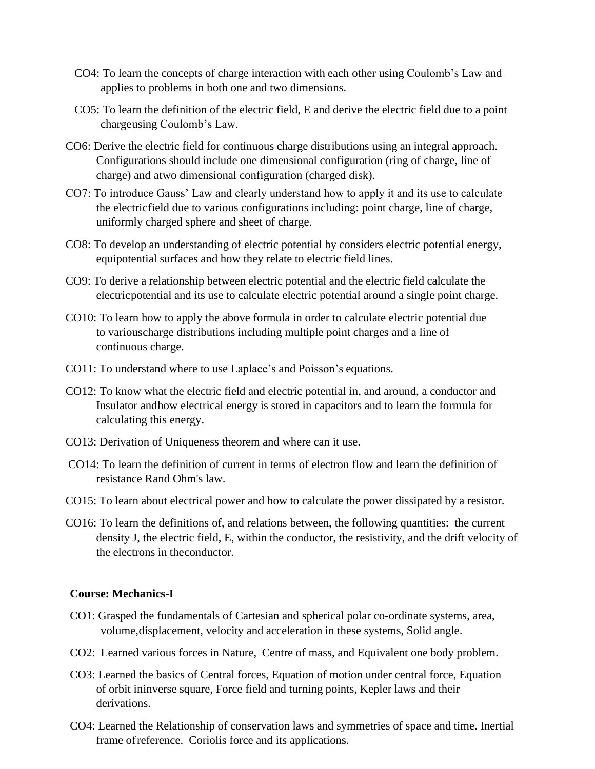- CO4: To learn the concepts of charge interaction with each other using Coulomb's Law and applies to problems in both one and two dimensions.
- CO5: To learn the definition of the electric field, E and derive the electric field due to a point chargeusing Coulomb's Law.
- CO6: Derive the electric field for continuous charge distributions using an integral approach. Configurations should include one dimensional configuration (ring of charge, line of charge) and atwo dimensional configuration (charged disk).
- CO7: To introduce Gauss' Law and clearly understand how to apply it and its use to calculate the electricfield due to various configurations including: point charge, line of charge, uniformly charged sphere and sheet of charge.
- CO8: To develop an understanding of electric potential by considers electric potential energy, equipotential surfaces and how they relate to electric field lines.
- CO9: To derive a relationship between electric potential and the electric field calculate the electricpotential and its use to calculate electric potential around a single point charge.
- CO10: To learn how to apply the above formula in order to calculate electric potential due to variouscharge distributions including multiple point charges and a line of continuous charge.
- CO11: To understand where to use Laplace's and Poisson's equations.
- CO12: To know what the electric field and electric potential in, and around, a conductor and Insulator andhow electrical energy is stored in capacitors and to learn the formula for calculating this energy.
- CO13: Derivation of Uniqueness theorem and where can it use.
- CO14: To learn the definition of current in terms of electron flow and learn the definition of resistance Rand Ohm's law.
- CO15: To learn about electrical power and how to calculate the power dissipated by a resistor.
- CO16: To learn the definitions of, and relations between, the following quantities: the current density J, the electric field, E, within the conductor, the resistivity, and the drift velocity of the electrons in theconductor.

### **Course: Mechanics-I**

- CO1: Grasped the fundamentals of Cartesian and spherical polar co-ordinate systems, area, volume,displacement, velocity and acceleration in these systems, Solid angle.
- CO2: Learned various forces in Nature, Centre of mass, and Equivalent one body problem.
- CO3: Learned the basics of Central forces, Equation of motion under central force, Equation of orbit ininverse square, Force field and turning points, Kepler laws and their derivations.
- CO4: Learned the Relationship of conservation laws and symmetries of space and time. Inertial frame of reference. Coriolis force and its applications.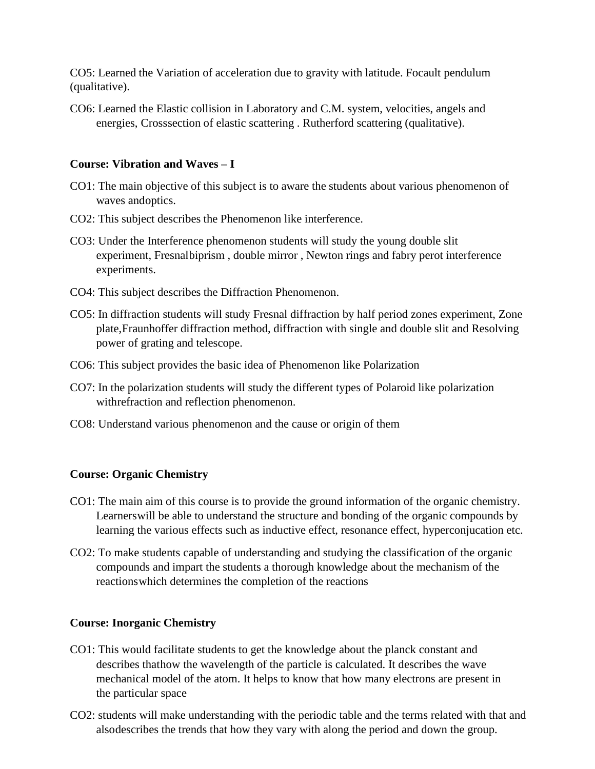CO5: Learned the Variation of acceleration due to gravity with latitude. Focault pendulum (qualitative).

CO6: Learned the Elastic collision in Laboratory and C.M. system, velocities, angels and energies, Crosssection of elastic scattering . Rutherford scattering (qualitative).

### **Course: Vibration and Waves – I**

- CO1: The main objective of this subject is to aware the students about various phenomenon of waves andoptics.
- CO2: This subject describes the Phenomenon like interference.
- CO3: Under the Interference phenomenon students will study the young double slit experiment, Fresnalbiprism , double mirror , Newton rings and fabry perot interference experiments.
- CO4: This subject describes the Diffraction Phenomenon.
- CO5: In diffraction students will study Fresnal diffraction by half period zones experiment, Zone plate,Fraunhoffer diffraction method, diffraction with single and double slit and Resolving power of grating and telescope.
- CO6: This subject provides the basic idea of Phenomenon like Polarization
- CO7: In the polarization students will study the different types of Polaroid like polarization withrefraction and reflection phenomenon.
- CO8: Understand various phenomenon and the cause or origin of them

### **Course: Organic Chemistry**

- CO1: The main aim of this course is to provide the ground information of the organic chemistry. Learnerswill be able to understand the structure and bonding of the organic compounds by learning the various effects such as inductive effect, resonance effect, hyperconjucation etc.
- CO2: To make students capable of understanding and studying the classification of the organic compounds and impart the students a thorough knowledge about the mechanism of the reactionswhich determines the completion of the reactions

### **Course: Inorganic Chemistry**

- CO1: This would facilitate students to get the knowledge about the planck constant and describes thathow the wavelength of the particle is calculated. It describes the wave mechanical model of the atom. It helps to know that how many electrons are present in the particular space
- CO2: students will make understanding with the periodic table and the terms related with that and alsodescribes the trends that how they vary with along the period and down the group.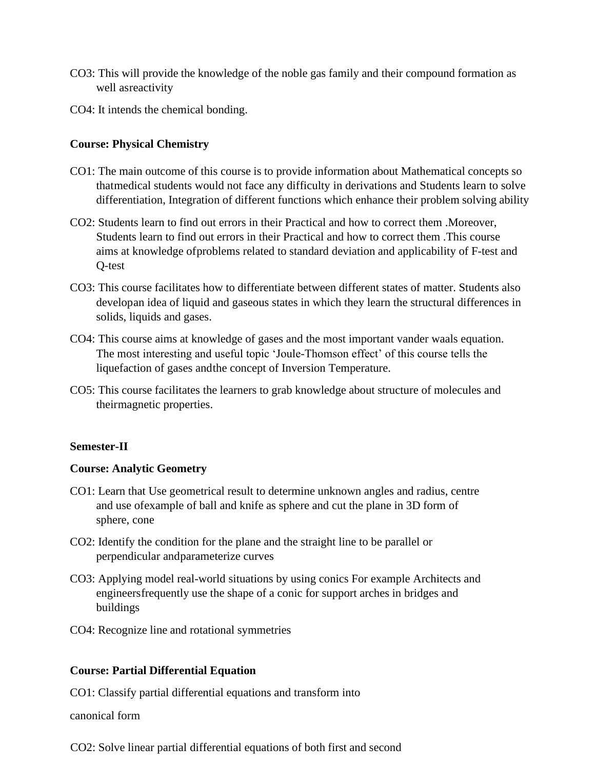- CO3: This will provide the knowledge of the noble gas family and their compound formation as well asreactivity
- CO4: It intends the chemical bonding.

# **Course: Physical Chemistry**

- CO1: The main outcome of this course is to provide information about Mathematical concepts so thatmedical students would not face any difficulty in derivations and Students learn to solve differentiation, Integration of different functions which enhance their problem solving ability
- CO2: Students learn to find out errors in their Practical and how to correct them .Moreover, Students learn to find out errors in their Practical and how to correct them .This course aims at knowledge ofproblems related to standard deviation and applicability of F-test and Q-test
- CO3: This course facilitates how to differentiate between different states of matter. Students also developan idea of liquid and gaseous states in which they learn the structural differences in solids, liquids and gases.
- CO4: This course aims at knowledge of gases and the most important vander waals equation. The most interesting and useful topic 'Joule-Thomson effect' of this course tells the liquefaction of gases andthe concept of Inversion Temperature.
- CO5: This course facilitates the learners to grab knowledge about structure of molecules and theirmagnetic properties.

# **Semester-II**

# **Course: Analytic Geometry**

- CO1: Learn that Use geometrical result to determine unknown angles and radius, centre and use ofexample of ball and knife as sphere and cut the plane in 3D form of sphere, cone
- CO2: Identify the condition for the plane and the straight line to be parallel or perpendicular andparameterize curves
- CO3: Applying model real-world situations by using conics For example Architects and engineersfrequently use the shape of a conic for support arches in bridges and buildings
- CO4: Recognize line and rotational symmetries

# **Course: Partial Differential Equation**

CO1: Classify partial differential equations and transform into

canonical form

CO2: Solve linear partial differential equations of both first and second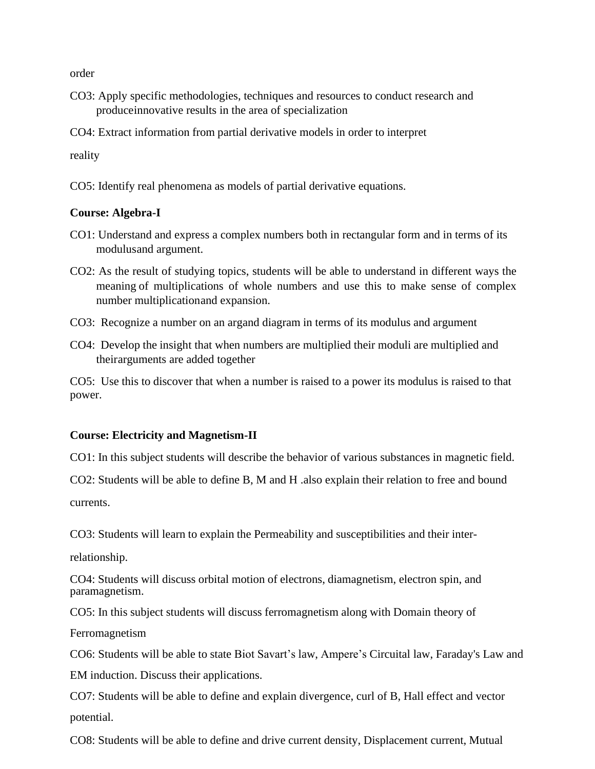order

- CO3: Apply specific methodologies, techniques and resources to conduct research and produceinnovative results in the area of specialization
- CO4: Extract information from partial derivative models in order to interpret

reality

CO5: Identify real phenomena as models of partial derivative equations.

#### **Course: Algebra-I**

- CO1: Understand and express a complex numbers both in rectangular form and in terms of its modulusand argument.
- CO2: As the result of studying topics, students will be able to understand in different ways the meaning of multiplications of whole numbers and use this to make sense of complex number multiplicationand expansion.
- CO3: Recognize a number on an argand diagram in terms of its modulus and argument
- CO4: Develop the insight that when numbers are multiplied their moduli are multiplied and theirarguments are added together

CO5: Use this to discover that when a number is raised to a power its modulus is raised to that power.

### **Course: Electricity and Magnetism-II**

CO1: In this subject students will describe the behavior of various substances in magnetic field.

CO2: Students will be able to define B, M and H .also explain their relation to free and bound

currents.

CO3: Students will learn to explain the Permeability and susceptibilities and their inter-

relationship.

CO4: Students will discuss orbital motion of electrons, diamagnetism, electron spin, and paramagnetism.

CO5: In this subject students will discuss ferromagnetism along with Domain theory of

Ferromagnetism

CO6: Students will be able to state Biot Savart's law, Ampere's Circuital law, Faraday's Law and EM induction. Discuss their applications.

CO7: Students will be able to define and explain divergence, curl of B, Hall effect and vector potential.

CO8: Students will be able to define and drive current density, Displacement current, Mutual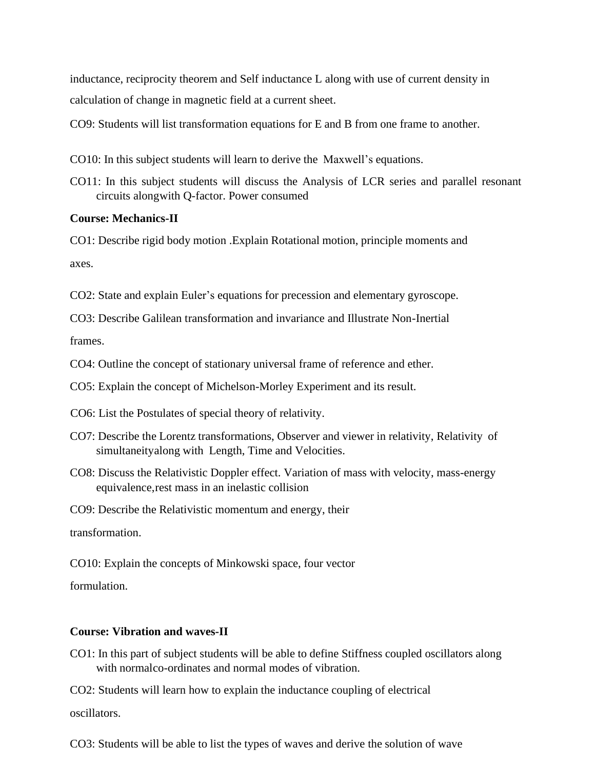inductance, reciprocity theorem and Self inductance L along with use of current density in calculation of change in magnetic field at a current sheet.

CO9: Students will list transformation equations for E and B from one frame to another.

- CO10: In this subject students will learn to derive the Maxwell's equations.
- CO11: In this subject students will discuss the Analysis of LCR series and parallel resonant circuits alongwith Q-factor. Power consumed

#### **Course: Mechanics-II**

CO1: Describe rigid body motion .Explain Rotational motion, principle moments and

axes.

CO2: State and explain Euler's equations for precession and elementary gyroscope.

CO3: Describe Galilean transformation and invariance and Illustrate Non-Inertial

frames.

CO4: Outline the concept of stationary universal frame of reference and ether.

CO5: Explain the concept of Michelson-Morley Experiment and its result.

CO6: List the Postulates of special theory of relativity.

- CO7: Describe the Lorentz transformations, Observer and viewer in relativity, Relativity of simultaneityalong with Length, Time and Velocities.
- CO8: Discuss the Relativistic Doppler effect. Variation of mass with velocity, mass-energy equivalence,rest mass in an inelastic collision

CO9: Describe the Relativistic momentum and energy, their

transformation.

CO10: Explain the concepts of Minkowski space, four vector

formulation.

#### **Course: Vibration and waves-II**

CO1: In this part of subject students will be able to define Stiffness coupled oscillators along with normalco-ordinates and normal modes of vibration.

CO2: Students will learn how to explain the inductance coupling of electrical

oscillators.

CO3: Students will be able to list the types of waves and derive the solution of wave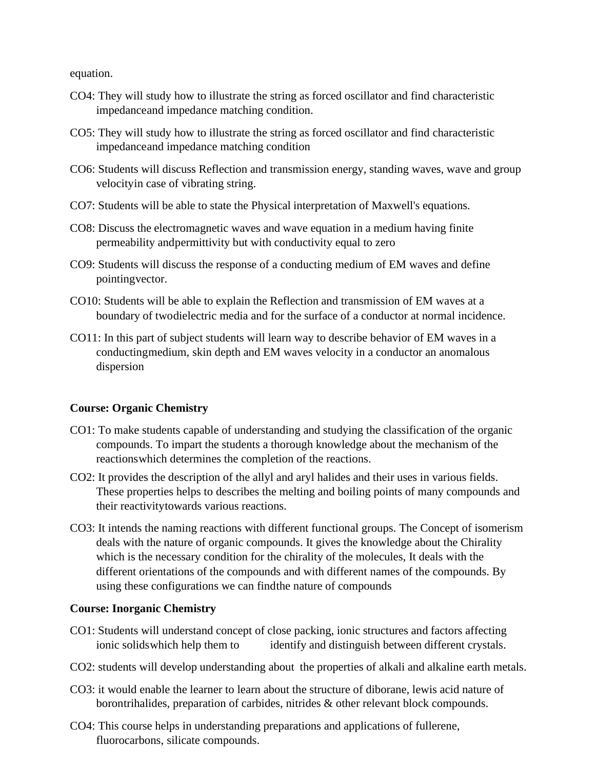equation.

- CO4: They will study how to illustrate the string as forced oscillator and find characteristic impedanceand impedance matching condition.
- CO5: They will study how to illustrate the string as forced oscillator and find characteristic impedanceand impedance matching condition
- CO6: Students will discuss Reflection and transmission energy, standing waves, wave and group velocityin case of vibrating string.
- CO7: Students will be able to state the Physical interpretation of Maxwell's equations.
- CO8: Discuss the electromagnetic waves and wave equation in a medium having finite permeability andpermittivity but with conductivity equal to zero
- CO9: Students will discuss the response of a conducting medium of EM waves and define pointingvector.
- CO10: Students will be able to explain the Reflection and transmission of EM waves at a boundary of twodielectric media and for the surface of a conductor at normal incidence.
- CO11: In this part of subject students will learn way to describe behavior of EM waves in a conductingmedium, skin depth and EM waves velocity in a conductor an anomalous dispersion

# **Course: Organic Chemistry**

- CO1: To make students capable of understanding and studying the classification of the organic compounds. To impart the students a thorough knowledge about the mechanism of the reactionswhich determines the completion of the reactions.
- CO2: It provides the description of the allyl and aryl halides and their uses in various fields. These properties helps to describes the melting and boiling points of many compounds and their reactivitytowards various reactions.
- CO3: It intends the naming reactions with different functional groups. The Concept of isomerism deals with the nature of organic compounds. It gives the knowledge about the Chirality which is the necessary condition for the chirality of the molecules, It deals with the different orientations of the compounds and with different names of the compounds. By using these configurations we can findthe nature of compounds

### **Course: Inorganic Chemistry**

- CO1: Students will understand concept of close packing, ionic structures and factors affecting ionic solidswhich help them to identify and distinguish between different crystals.
- CO2: students will develop understanding about the properties of alkali and alkaline earth metals.
- CO3: it would enable the learner to learn about the structure of diborane, lewis acid nature of borontrihalides, preparation of carbides, nitrides & other relevant block compounds.
- CO4: This course helps in understanding preparations and applications of fullerene, fluorocarbons, silicate compounds.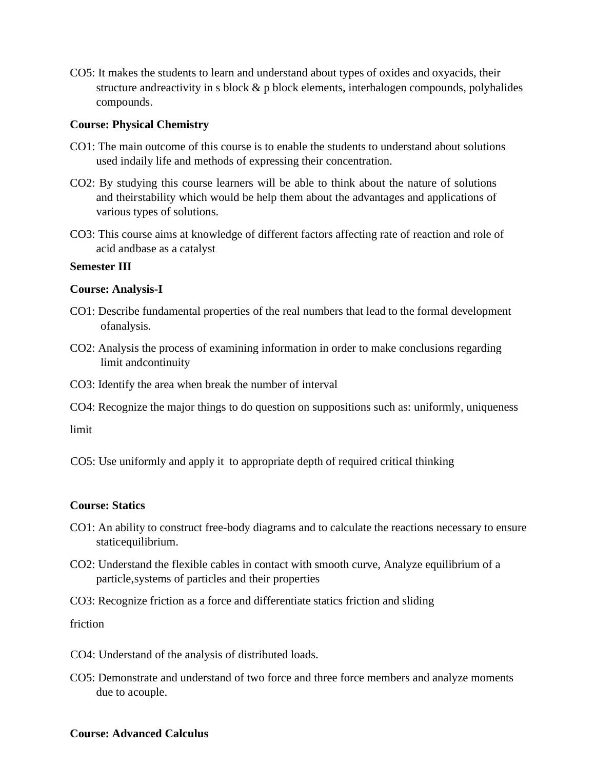CO5: It makes the students to learn and understand about types of oxides and oxyacids, their structure andreactivity in s block  $\&$  p block elements, interhalogen compounds, polyhalides compounds.

#### **Course: Physical Chemistry**

- CO1: The main outcome of this course is to enable the students to understand about solutions used indaily life and methods of expressing their concentration.
- CO2: By studying this course learners will be able to think about the nature of solutions and theirstability which would be help them about the advantages and applications of various types of solutions.
- CO3: This course aims at knowledge of different factors affecting rate of reaction and role of acid andbase as a catalyst

#### **Semester III**

#### **Course: Analysis-I**

- CO1: Describe fundamental properties of the real numbers that lead to the formal development ofanalysis.
- CO2: Analysis the process of examining information in order to make conclusions regarding limit andcontinuity
- CO3: Identify the area when break the number of interval
- CO4: Recognize the major things to do question on suppositions such as: uniformly, uniqueness

limit

CO5: Use uniformly and apply it to appropriate depth of required critical thinking

### **Course: Statics**

- CO1: An ability to construct free-body diagrams and to calculate the reactions necessary to ensure staticequilibrium.
- CO2: Understand the flexible cables in contact with smooth curve, Analyze equilibrium of a particle,systems of particles and their properties
- CO3: Recognize friction as a force and differentiate statics friction and sliding

friction

- CO4: Understand of the analysis of distributed loads.
- CO5: Demonstrate and understand of two force and three force members and analyze moments due to acouple.

#### **Course: Advanced Calculus**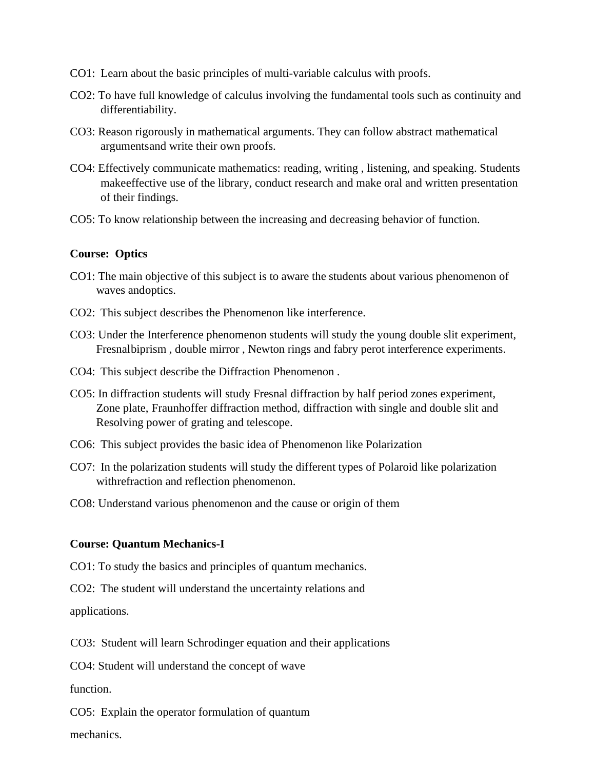- CO1: Learn about the basic principles of multi-variable calculus with proofs.
- CO2: To have full knowledge of calculus involving the fundamental tools such as continuity and differentiability.
- CO3: Reason rigorously in mathematical arguments. They can follow abstract mathematical argumentsand write their own proofs.
- CO4: Effectively communicate mathematics: reading, writing , listening, and speaking. Students makeeffective use of the library, conduct research and make oral and written presentation of their findings.
- CO5: To know relationship between the increasing and decreasing behavior of function.

#### **Course: Optics**

- CO1: The main objective of this subject is to aware the students about various phenomenon of waves andoptics.
- CO2: This subject describes the Phenomenon like interference.
- CO3: Under the Interference phenomenon students will study the young double slit experiment, Fresnalbiprism , double mirror , Newton rings and fabry perot interference experiments.
- CO4: This subject describe the Diffraction Phenomenon .
- CO5: In diffraction students will study Fresnal diffraction by half period zones experiment, Zone plate, Fraunhoffer diffraction method, diffraction with single and double slit and Resolving power of grating and telescope.
- CO6: This subject provides the basic idea of Phenomenon like Polarization
- CO7: In the polarization students will study the different types of Polaroid like polarization withrefraction and reflection phenomenon.
- CO8: Understand various phenomenon and the cause or origin of them

#### **Course: Quantum Mechanics-I**

CO1: To study the basics and principles of quantum mechanics.

CO2: The student will understand the uncertainty relations and

applications.

CO3: Student will learn Schrodinger equation and their applications

CO4: Student will understand the concept of wave

function.

CO5: Explain the operator formulation of quantum

mechanics.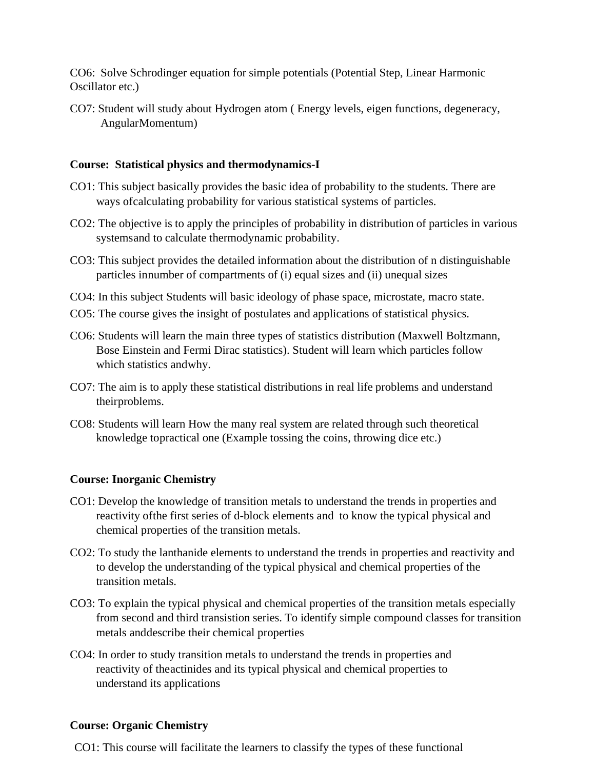CO6: Solve Schrodinger equation for simple potentials (Potential Step, Linear Harmonic Oscillator etc.)

CO7: Student will study about Hydrogen atom ( Energy levels, eigen functions, degeneracy, AngularMomentum)

### **Course: Statistical physics and thermodynamics-I**

- CO1: This subject basically provides the basic idea of probability to the students. There are ways ofcalculating probability for various statistical systems of particles.
- CO2: The objective is to apply the principles of probability in distribution of particles in various systemsand to calculate thermodynamic probability.
- CO3: This subject provides the detailed information about the distribution of n distinguishable particles innumber of compartments of (i) equal sizes and (ii) unequal sizes
- CO4: In this subject Students will basic ideology of phase space, microstate, macro state.
- CO5: The course gives the insight of postulates and applications of statistical physics.
- CO6: Students will learn the main three types of statistics distribution (Maxwell Boltzmann, Bose Einstein and Fermi Dirac statistics). Student will learn which particles follow which statistics andwhy.
- CO7: The aim is to apply these statistical distributions in real life problems and understand theirproblems.
- CO8: Students will learn How the many real system are related through such theoretical knowledge topractical one (Example tossing the coins, throwing dice etc.)

# **Course: Inorganic Chemistry**

- CO1: Develop the knowledge of transition metals to understand the trends in properties and reactivity ofthe first series of d-block elements and to know the typical physical and chemical properties of the transition metals.
- CO2: To study the lanthanide elements to understand the trends in properties and reactivity and to develop the understanding of the typical physical and chemical properties of the transition metals.
- CO3: To explain the typical physical and chemical properties of the transition metals especially from second and third transistion series. To identify simple compound classes for transition metals anddescribe their chemical properties
- CO4: In order to study transition metals to understand the trends in properties and reactivity of theactinides and its typical physical and chemical properties to understand its applications

### **Course: Organic Chemistry**

CO1: This course will facilitate the learners to classify the types of these functional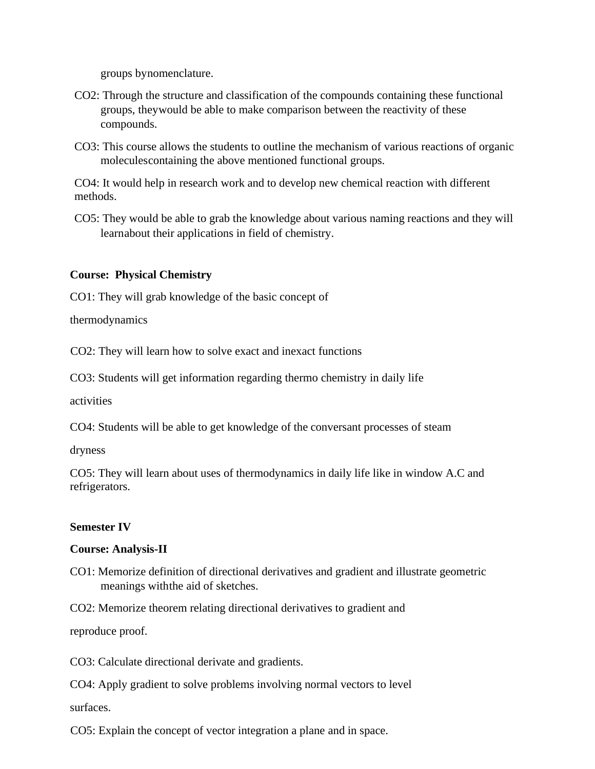groups bynomenclature.

- CO2: Through the structure and classification of the compounds containing these functional groups, theywould be able to make comparison between the reactivity of these compounds.
- CO3: This course allows the students to outline the mechanism of various reactions of organic moleculescontaining the above mentioned functional groups.

CO4: It would help in research work and to develop new chemical reaction with different methods.

CO5: They would be able to grab the knowledge about various naming reactions and they will learnabout their applications in field of chemistry.

### **Course: Physical Chemistry**

CO1: They will grab knowledge of the basic concept of

thermodynamics

CO2: They will learn how to solve exact and inexact functions

CO3: Students will get information regarding thermo chemistry in daily life

activities

CO4: Students will be able to get knowledge of the conversant processes of steam

dryness

CO5: They will learn about uses of thermodynamics in daily life like in window A.C and refrigerators.

### **Semester IV**

### **Course: Analysis-II**

CO1: Memorize definition of directional derivatives and gradient and illustrate geometric meanings withthe aid of sketches.

CO2: Memorize theorem relating directional derivatives to gradient and

reproduce proof.

CO3: Calculate directional derivate and gradients.

CO4: Apply gradient to solve problems involving normal vectors to level

surfaces.

CO5: Explain the concept of vector integration a plane and in space.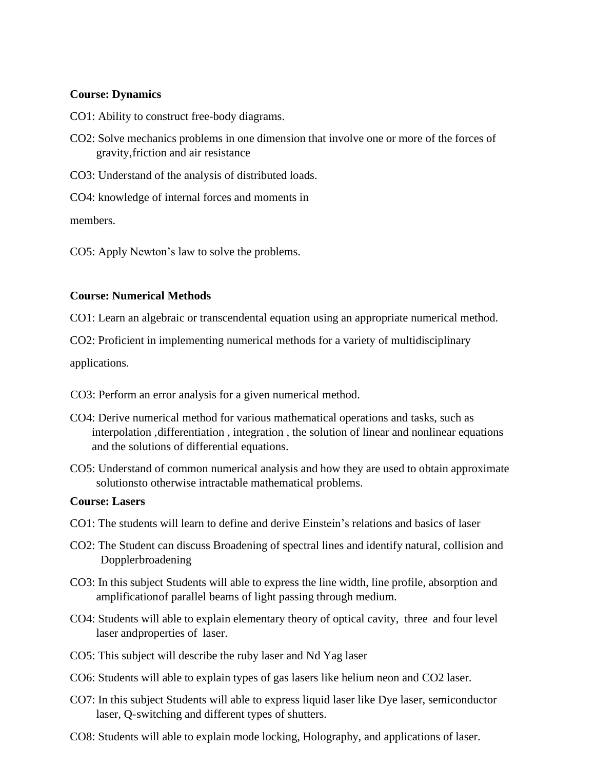### **Course: Dynamics**

- CO1: Ability to construct free-body diagrams.
- CO2: Solve mechanics problems in one dimension that involve one or more of the forces of gravity,friction and air resistance
- CO3: Understand of the analysis of distributed loads.
- CO4: knowledge of internal forces and moments in

members.

CO5: Apply Newton's law to solve the problems.

### **Course: Numerical Methods**

CO1: Learn an algebraic or transcendental equation using an appropriate numerical method.

CO2: Proficient in implementing numerical methods for a variety of multidisciplinary

applications.

- CO3: Perform an error analysis for a given numerical method.
- CO4: Derive numerical method for various mathematical operations and tasks, such as interpolation, differentiation, integration, the solution of linear and nonlinear equations and the solutions of differential equations.
- CO5: Understand of common numerical analysis and how they are used to obtain approximate solutionsto otherwise intractable mathematical problems.

### **Course: Lasers**

- CO1: The students will learn to define and derive Einstein's relations and basics of laser
- CO2: The Student can discuss Broadening of spectral lines and identify natural, collision and Dopplerbroadening
- CO3: In this subject Students will able to express the line width, line profile, absorption and amplificationof parallel beams of light passing through medium.
- CO4: Students will able to explain elementary theory of optical cavity, three and four level laser andproperties of laser.
- CO5: This subject will describe the ruby laser and Nd Yag laser
- CO6: Students will able to explain types of gas lasers like helium neon and CO2 laser.
- CO7: In this subject Students will able to express liquid laser like Dye laser, semiconductor laser, Q-switching and different types of shutters.
- CO8: Students will able to explain mode locking, Holography, and applications of laser.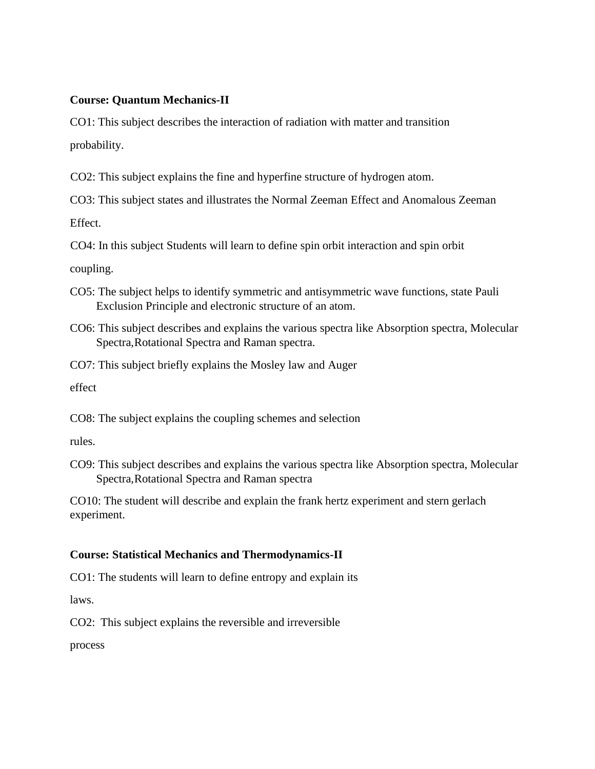### **Course: Quantum Mechanics-II**

CO1: This subject describes the interaction of radiation with matter and transition probability.

CO2: This subject explains the fine and hyperfine structure of hydrogen atom.

CO3: This subject states and illustrates the Normal Zeeman Effect and Anomalous Zeeman Effect.

CO4: In this subject Students will learn to define spin orbit interaction and spin orbit

coupling.

- CO5: The subject helps to identify symmetric and antisymmetric wave functions, state Pauli Exclusion Principle and electronic structure of an atom.
- CO6: This subject describes and explains the various spectra like Absorption spectra, Molecular Spectra,Rotational Spectra and Raman spectra.

CO7: This subject briefly explains the Mosley law and Auger

effect

CO8: The subject explains the coupling schemes and selection

rules.

CO9: This subject describes and explains the various spectra like Absorption spectra, Molecular Spectra,Rotational Spectra and Raman spectra

CO10: The student will describe and explain the frank hertz experiment and stern gerlach experiment.

# **Course: Statistical Mechanics and Thermodynamics-II**

CO1: The students will learn to define entropy and explain its

laws.

CO2: This subject explains the reversible and irreversible

process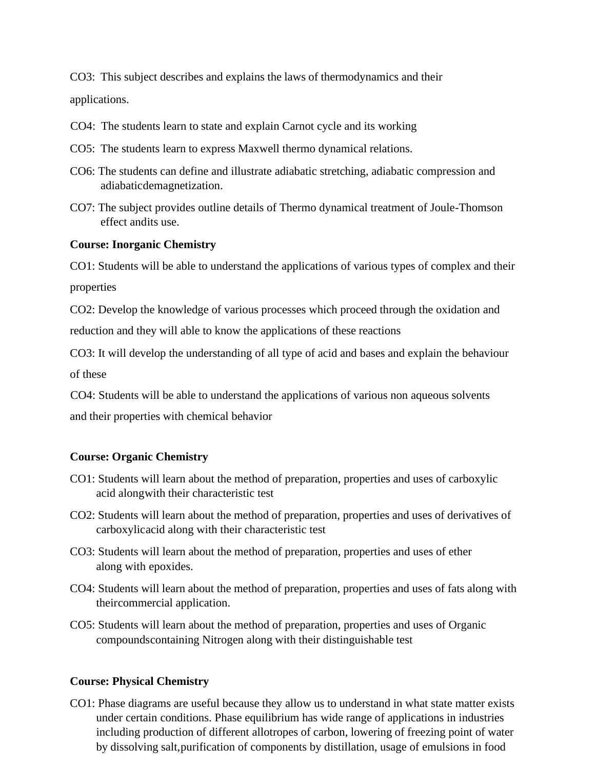CO3: This subject describes and explains the laws of thermodynamics and their applications.

- CO4: The students learn to state and explain Carnot cycle and its working
- CO5: The students learn to express Maxwell thermo dynamical relations.
- CO6: The students can define and illustrate adiabatic stretching, adiabatic compression and adiabaticdemagnetization.
- CO7: The subject provides outline details of Thermo dynamical treatment of Joule-Thomson effect andits use.

#### **Course: Inorganic Chemistry**

CO1: Students will be able to understand the applications of various types of complex and their properties

CO2: Develop the knowledge of various processes which proceed through the oxidation and reduction and they will able to know the applications of these reactions

CO3: It will develop the understanding of all type of acid and bases and explain the behaviour of these

CO4: Students will be able to understand the applications of various non aqueous solvents and their properties with chemical behavior

#### **Course: Organic Chemistry**

- CO1: Students will learn about the method of preparation, properties and uses of carboxylic acid alongwith their characteristic test
- CO2: Students will learn about the method of preparation, properties and uses of derivatives of carboxylicacid along with their characteristic test
- CO3: Students will learn about the method of preparation, properties and uses of ether along with epoxides.
- CO4: Students will learn about the method of preparation, properties and uses of fats along with theircommercial application.
- CO5: Students will learn about the method of preparation, properties and uses of Organic compoundscontaining Nitrogen along with their distinguishable test

#### **Course: Physical Chemistry**

CO1: Phase diagrams are useful because they allow us to understand in what state matter exists under certain conditions. Phase equilibrium has wide range of applications in industries including production of different allotropes of carbon, lowering of freezing point of water by dissolving salt,purification of components by distillation, usage of emulsions in food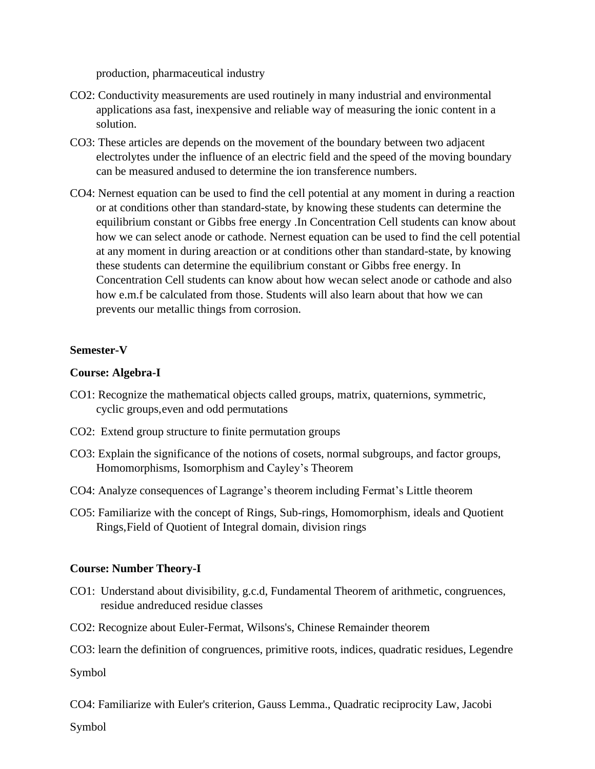production, pharmaceutical industry

- CO2: Conductivity measurements are used routinely in many industrial and environmental applications asa fast, inexpensive and reliable way of measuring the ionic content in a solution.
- CO3: These articles are depends on the movement of the boundary between two adjacent electrolytes under the influence of an electric field and the speed of the moving boundary can be measured andused to determine the ion transference numbers.
- CO4: Nernest equation can be used to find the cell potential at any moment in during a reaction or at conditions other than standard-state, by knowing these students can determine the equilibrium constant or Gibbs free energy .In Concentration Cell students can know about how we can select anode or cathode. Nernest equation can be used to find the cell potential at any moment in during areaction or at conditions other than standard-state, by knowing these students can determine the equilibrium constant or Gibbs free energy. In Concentration Cell students can know about how wecan select anode or cathode and also how e.m.f be calculated from those. Students will also learn about that how we can prevents our metallic things from corrosion.

### **Semester-V**

#### **Course: Algebra-I**

- CO1: Recognize the mathematical objects called groups, matrix, quaternions, symmetric, cyclic groups,even and odd permutations
- CO2: Extend group structure to finite permutation groups
- CO3: Explain the significance of the notions of cosets, normal subgroups, and factor groups, Homomorphisms, Isomorphism and Cayley's Theorem
- CO4: Analyze consequences of Lagrange's theorem including Fermat's Little theorem
- CO5: Familiarize with the concept of Rings, Sub-rings, Homomorphism, ideals and Quotient Rings,Field of Quotient of Integral domain, division rings

#### **Course: Number Theory-I**

- CO1: Understand about divisibility, g.c.d, Fundamental Theorem of arithmetic, congruences, residue andreduced residue classes
- CO2: Recognize about Euler-Fermat, Wilsons's, Chinese Remainder theorem
- CO3: learn the definition of congruences, primitive roots, indices, quadratic residues, Legendre

Symbol

CO4: Familiarize with Euler's criterion, Gauss Lemma., Quadratic reciprocity Law, Jacobi

Symbol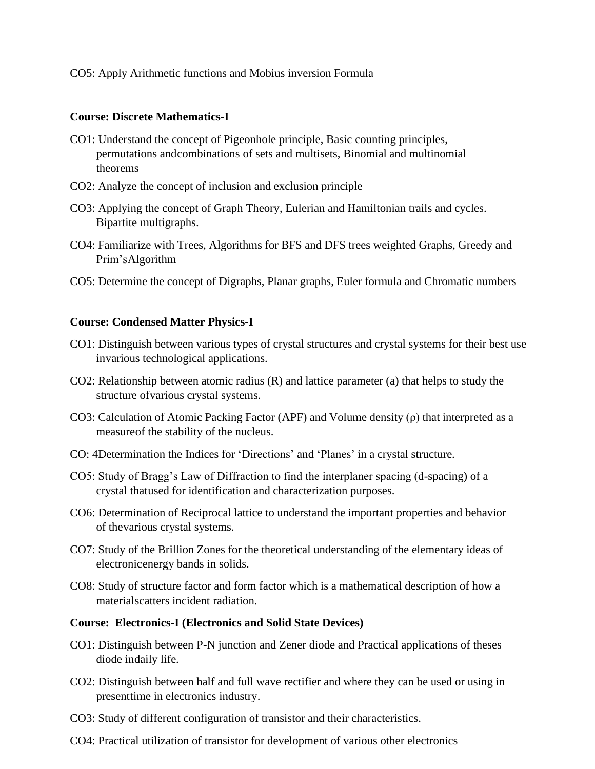CO5: Apply Arithmetic functions and Mobius inversion Formula

#### **Course: Discrete Mathematics-I**

- CO1: Understand the concept of Pigeonhole principle, Basic counting principles, permutations andcombinations of sets and multisets, Binomial and multinomial theorems
- CO2: Analyze the concept of inclusion and exclusion principle
- CO3: Applying the concept of Graph Theory, Eulerian and Hamiltonian trails and cycles. Bipartite multigraphs.
- CO4: Familiarize with Trees, Algorithms for BFS and DFS trees weighted Graphs, Greedy and Prim'sAlgorithm
- CO5: Determine the concept of Digraphs, Planar graphs, Euler formula and Chromatic numbers

### **Course: Condensed Matter Physics-I**

- CO1: Distinguish between various types of crystal structures and crystal systems for their best use invarious technological applications.
- CO2: Relationship between atomic radius (R) and lattice parameter (a) that helps to study the structure ofvarious crystal systems.
- CO3: Calculation of Atomic Packing Factor (APF) and Volume density (ρ) that interpreted as a measureof the stability of the nucleus.
- CO: 4Determination the Indices for 'Directions' and 'Planes' in a crystal structure.
- CO5: Study of Bragg's Law of Diffraction to find the interplaner spacing (d-spacing) of a crystal thatused for identification and characterization purposes.
- CO6: Determination of Reciprocal lattice to understand the important properties and behavior of thevarious crystal systems.
- CO7: Study of the Brillion Zones for the theoretical understanding of the elementary ideas of electronicenergy bands in solids.
- CO8: Study of structure factor and form factor which is a mathematical description of how a materialscatters incident radiation.

#### **Course: Electronics-I (Electronics and Solid State Devices)**

- CO1: Distinguish between P-N junction and Zener diode and Practical applications of theses diode indaily life.
- CO2: Distinguish between half and full wave rectifier and where they can be used or using in presenttime in electronics industry.
- CO3: Study of different configuration of transistor and their characteristics.
- CO4: Practical utilization of transistor for development of various other electronics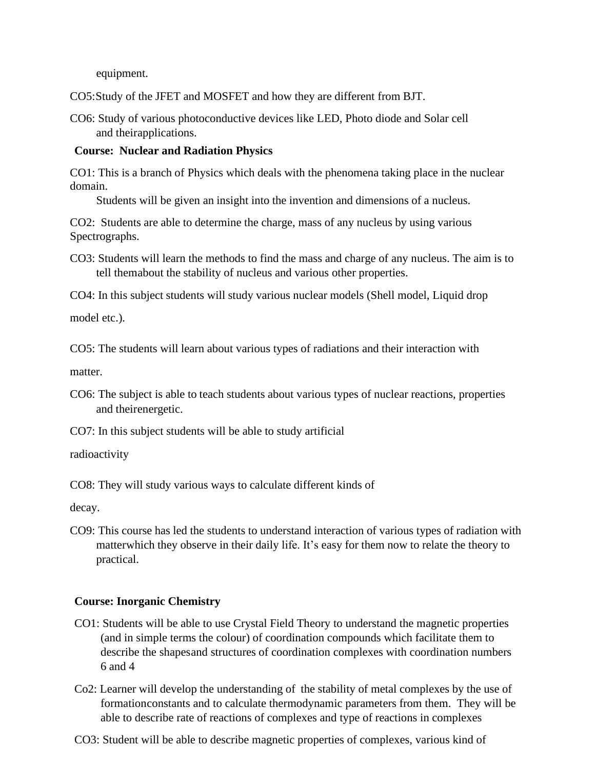equipment.

CO5:Study of the JFET and MOSFET and how they are different from BJT.

CO6: Study of various photoconductive devices like LED, Photo diode and Solar cell and theirapplications.

### **Course: Nuclear and Radiation Physics**

CO1: This is a branch of Physics which deals with the phenomena taking place in the nuclear domain.

Students will be given an insight into the invention and dimensions of a nucleus.

CO2: Students are able to determine the charge, mass of any nucleus by using various Spectrographs.

CO3: Students will learn the methods to find the mass and charge of any nucleus. The aim is to tell themabout the stability of nucleus and various other properties.

CO4: In this subject students will study various nuclear models (Shell model, Liquid drop

model etc.).

CO5: The students will learn about various types of radiations and their interaction with

matter.

CO6: The subject is able to teach students about various types of nuclear reactions, properties and theirenergetic.

CO7: In this subject students will be able to study artificial

radioactivity

CO8: They will study various ways to calculate different kinds of

decay.

CO9: This course has led the students to understand interaction of various types of radiation with matterwhich they observe in their daily life. It's easy for them now to relate the theory to practical.

# **Course: Inorganic Chemistry**

- CO1: Students will be able to use Crystal Field Theory to understand the magnetic properties (and in simple terms the colour) of coordination compounds which facilitate them to describe the shapesand structures of coordination complexes with coordination numbers 6 and 4
- Co2: Learner will develop the understanding of the stability of metal complexes by the use of formationconstants and to calculate thermodynamic parameters from them. They will be able to describe rate of reactions of complexes and type of reactions in complexes
- CO3: Student will be able to describe magnetic properties of complexes, various kind of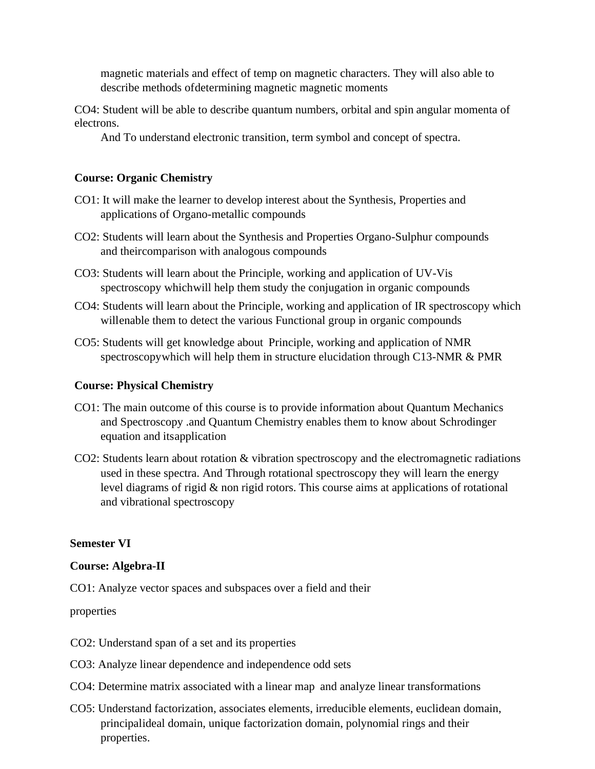magnetic materials and effect of temp on magnetic characters. They will also able to describe methods ofdetermining magnetic magnetic moments

CO4: Student will be able to describe quantum numbers, orbital and spin angular momenta of electrons.

And To understand electronic transition, term symbol and concept of spectra.

#### **Course: Organic Chemistry**

- CO1: It will make the learner to develop interest about the Synthesis, Properties and applications of Organo-metallic compounds
- CO2: Students will learn about the Synthesis and Properties Organo-Sulphur compounds and theircomparison with analogous compounds
- CO3: Students will learn about the Principle, working and application of UV-Vis spectroscopy whichwill help them study the conjugation in organic compounds
- CO4: Students will learn about the Principle, working and application of IR spectroscopy which willenable them to detect the various Functional group in organic compounds
- CO5: Students will get knowledge about Principle, working and application of NMR spectroscopywhich will help them in structure elucidation through C13-NMR & PMR

#### **Course: Physical Chemistry**

- CO1: The main outcome of this course is to provide information about Quantum Mechanics and Spectroscopy .and Quantum Chemistry enables them to know about Schrodinger equation and itsapplication
- CO2: Students learn about rotation & vibration spectroscopy and the electromagnetic radiations used in these spectra. And Through rotational spectroscopy they will learn the energy level diagrams of rigid & non rigid rotors. This course aims at applications of rotational and vibrational spectroscopy

#### **Semester VI**

#### **Course: Algebra-II**

CO1: Analyze vector spaces and subspaces over a field and their

#### properties

- CO2: Understand span of a set and its properties
- CO3: Analyze linear dependence and independence odd sets
- CO4: Determine matrix associated with a linear map and analyze linear transformations
- CO5: Understand factorization, associates elements, irreducible elements, euclidean domain, principalideal domain, unique factorization domain, polynomial rings and their properties.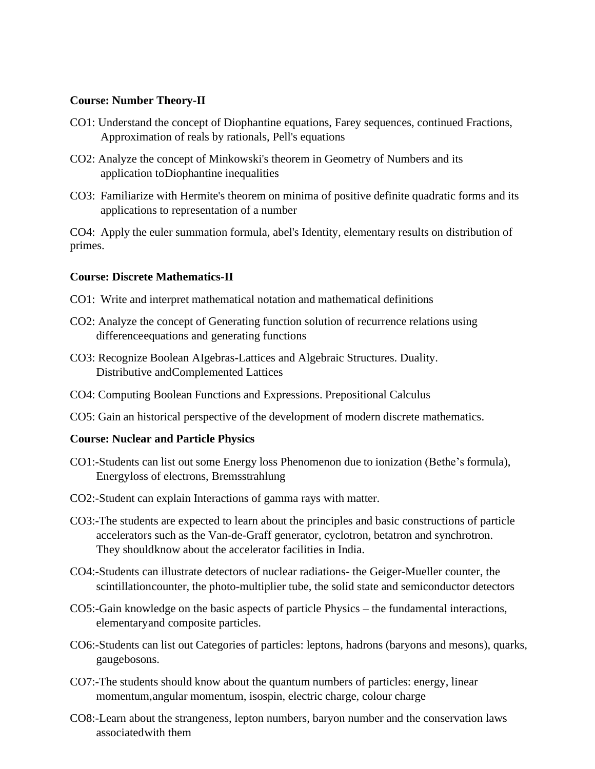#### **Course: Number Theory-II**

- CO1: Understand the concept of Diophantine equations, Farey sequences, continued Fractions, Approximation of reals by rationals, Pell's equations
- CO2: Analyze the concept of Minkowski's theorem in Geometry of Numbers and its application toDiophantine inequalities
- CO3: Familiarize with Hermite's theorem on minima of positive definite quadratic forms and its applications to representation of a number

CO4: Apply the euler summation formula, abel's Identity, elementary results on distribution of primes.

### **Course: Discrete Mathematics-II**

- CO1: Write and interpret mathematical notation and mathematical definitions
- CO2: Analyze the concept of Generating function solution of recurrence relations using differenceequations and generating functions
- CO3: Recognize Boolean AIgebras-Lattices and Algebraic Structures. Duality. Distributive andComplemented Lattices
- CO4: Computing Boolean Functions and Expressions. Prepositional Calculus
- CO5: Gain an historical perspective of the development of modern discrete mathematics.

#### **Course: Nuclear and Particle Physics**

- CO1:-Students can list out some Energy loss Phenomenon due to ionization (Bethe's formula), Energyloss of electrons, Bremsstrahlung
- CO2:-Student can explain Interactions of gamma rays with matter.
- CO3:-The students are expected to learn about the principles and basic constructions of particle accelerators such as the Van-de-Graff generator, cyclotron, betatron and synchrotron. They shouldknow about the accelerator facilities in India.
- CO4:-Students can illustrate detectors of nuclear radiations- the Geiger-Mueller counter, the scintillationcounter, the photo-multiplier tube, the solid state and semiconductor detectors
- CO5:-Gain knowledge on the basic aspects of particle Physics the fundamental interactions, elementaryand composite particles.
- CO6:-Students can list out Categories of particles: leptons, hadrons (baryons and mesons), quarks, gaugebosons.
- CO7:-The students should know about the quantum numbers of particles: energy, linear momentum,angular momentum, isospin, electric charge, colour charge
- CO8:-Learn about the strangeness, lepton numbers, baryon number and the conservation laws associatedwith them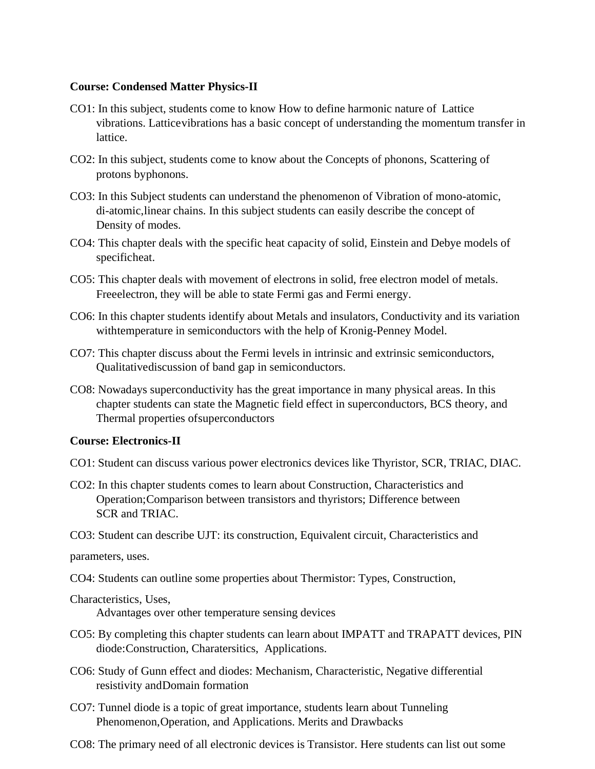#### **Course: Condensed Matter Physics-II**

- CO1: In this subject, students come to know How to define harmonic nature of Lattice vibrations. Latticevibrations has a basic concept of understanding the momentum transfer in lattice.
- CO2: In this subject, students come to know about the Concepts of phonons, Scattering of protons byphonons.
- CO3: In this Subject students can understand the phenomenon of Vibration of mono-atomic, di-atomic,linear chains. In this subject students can easily describe the concept of Density of modes.
- CO4: This chapter deals with the specific heat capacity of solid, Einstein and Debye models of specificheat.
- CO5: This chapter deals with movement of electrons in solid, free electron model of metals. Freeelectron, they will be able to state Fermi gas and Fermi energy.
- CO6: In this chapter students identify about Metals and insulators, Conductivity and its variation withtemperature in semiconductors with the help of Kronig-Penney Model.
- CO7: This chapter discuss about the Fermi levels in intrinsic and extrinsic semiconductors, Qualitativediscussion of band gap in semiconductors.
- CO8: Nowadays superconductivity has the great importance in many physical areas. In this chapter students can state the Magnetic field effect in superconductors, BCS theory, and Thermal properties ofsuperconductors

### **Course: Electronics-II**

- CO1: Student can discuss various power electronics devices like Thyristor, SCR, TRIAC, DIAC.
- CO2: In this chapter students comes to learn about Construction, Characteristics and Operation;Comparison between transistors and thyristors; Difference between SCR and TRIAC.
- CO3: Student can describe UJT: its construction, Equivalent circuit, Characteristics and

parameters, uses.

CO4: Students can outline some properties about Thermistor: Types, Construction,

Characteristics, Uses,

Advantages over other temperature sensing devices

- CO5: By completing this chapter students can learn about IMPATT and TRAPATT devices, PIN diode:Construction, Charatersitics, Applications.
- CO6: Study of Gunn effect and diodes: Mechanism, Characteristic, Negative differential resistivity andDomain formation
- CO7: Tunnel diode is a topic of great importance, students learn about Tunneling Phenomenon,Operation, and Applications. Merits and Drawbacks
- CO8: The primary need of all electronic devices is Transistor. Here students can list out some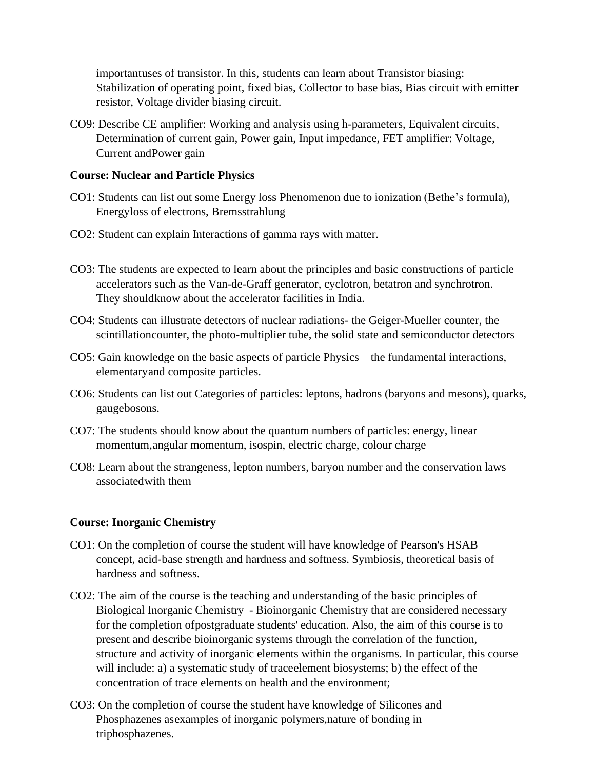importantuses of transistor. In this, students can learn about Transistor biasing: Stabilization of operating point, fixed bias, Collector to base bias, Bias circuit with emitter resistor, Voltage divider biasing circuit.

CO9: Describe CE amplifier: Working and analysis using h-parameters, Equivalent circuits, Determination of current gain, Power gain, Input impedance, FET amplifier: Voltage, Current andPower gain

#### **Course: Nuclear and Particle Physics**

- CO1: Students can list out some Energy loss Phenomenon due to ionization (Bethe's formula), Energyloss of electrons, Bremsstrahlung
- CO2: Student can explain Interactions of gamma rays with matter.
- CO3: The students are expected to learn about the principles and basic constructions of particle accelerators such as the Van-de-Graff generator, cyclotron, betatron and synchrotron. They shouldknow about the accelerator facilities in India.
- CO4: Students can illustrate detectors of nuclear radiations- the Geiger-Mueller counter, the scintillationcounter, the photo-multiplier tube, the solid state and semiconductor detectors
- CO5: Gain knowledge on the basic aspects of particle Physics the fundamental interactions, elementaryand composite particles.
- CO6: Students can list out Categories of particles: leptons, hadrons (baryons and mesons), quarks, gaugebosons.
- CO7: The students should know about the quantum numbers of particles: energy, linear momentum,angular momentum, isospin, electric charge, colour charge
- CO8: Learn about the strangeness, lepton numbers, baryon number and the conservation laws associatedwith them

### **Course: Inorganic Chemistry**

- CO1: On the completion of course the student will have knowledge of Pearson's HSAB concept, acid-base strength and hardness and softness. Symbiosis, theoretical basis of hardness and softness.
- CO2: The aim of the course is the teaching and understanding of the basic principles of Biological Inorganic Chemistry - Bioinorganic Chemistry that are considered necessary for the completion ofpostgraduate students' education. Also, the aim of this course is to present and describe bioinorganic systems through the correlation of the function, structure and activity of inorganic elements within the organisms. In particular, this course will include: a) a systematic study of traceelement biosystems; b) the effect of the concentration of trace elements on health and the environment;
- CO3: On the completion of course the student have knowledge of Silicones and Phosphazenes asexamples of inorganic polymers,nature of bonding in triphosphazenes.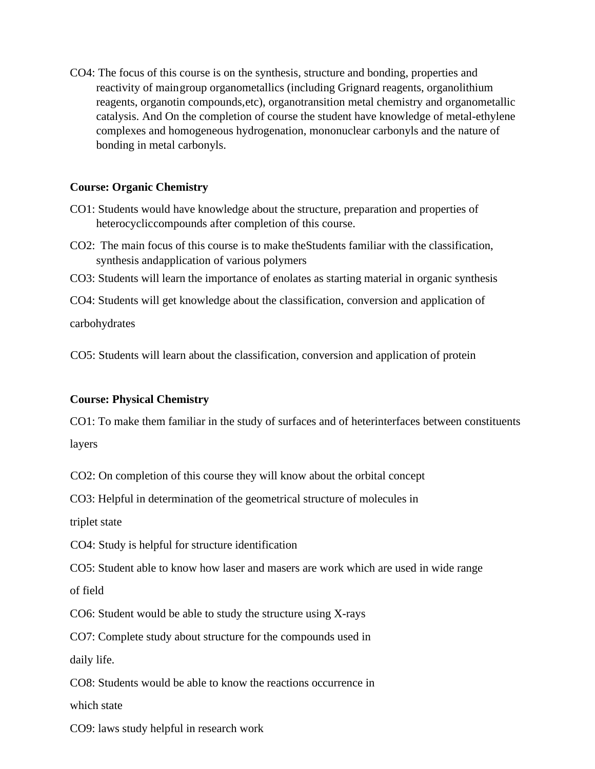CO4: The focus of this course is on the synthesis, structure and bonding, properties and reactivity of maingroup organometallics (including Grignard reagents, organolithium reagents, organotin compounds,etc), organotransition metal chemistry and organometallic catalysis. And On the completion of course the student have knowledge of metal-ethylene complexes and homogeneous hydrogenation, mononuclear carbonyls and the nature of bonding in metal carbonyls.

### **Course: Organic Chemistry**

- CO1: Students would have knowledge about the structure, preparation and properties of heterocycliccompounds after completion of this course.
- CO2: The main focus of this course is to make theStudents familiar with the classification, synthesis andapplication of various polymers
- CO3: Students will learn the importance of enolates as starting material in organic synthesis
- CO4: Students will get knowledge about the classification, conversion and application of

carbohydrates

CO5: Students will learn about the classification, conversion and application of protein

# **Course: Physical Chemistry**

CO1: To make them familiar in the study of surfaces and of heterinterfaces between constituents layers

CO2: On completion of this course they will know about the orbital concept

CO3: Helpful in determination of the geometrical structure of molecules in

triplet state

CO4: Study is helpful for structure identification

CO5: Student able to know how laser and masers are work which are used in wide range

of field

CO6: Student would be able to study the structure using X-rays

CO7: Complete study about structure for the compounds used in

daily life.

CO8: Students would be able to know the reactions occurrence in

which state

CO9: laws study helpful in research work